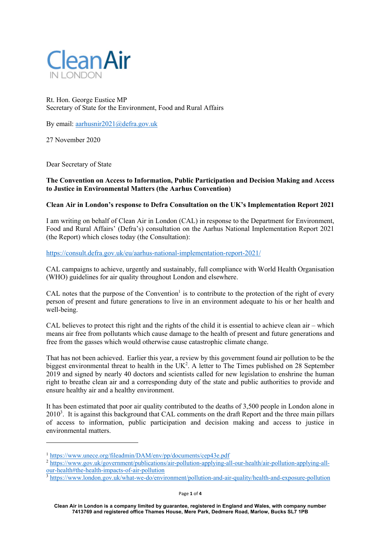

Rt. Hon. George Eustice MP Secretary of State for the Environment, Food and Rural Affairs

By email: aarhusnir2021@defra.gov.uk

27 November 2020

Dear Secretary of State

## **The Convention on Access to Information, Public Participation and Decision Making and Access to Justice in Environmental Matters (the Aarhus Convention)**

## **Clean Air in London's response to Defra Consultation on the UK's Implementation Report 2021**

I am writing on behalf of Clean Air in London (CAL) in response to the Department for Environment, Food and Rural Affairs' (Defra's) consultation on the Aarhus National Implementation Report 2021 (the Report) which closes today (the Consultation):

https://consult.defra.gov.uk/eu/aarhus-national-implementation-report-2021/

CAL campaigns to achieve, urgently and sustainably, full compliance with World Health Organisation (WHO) guidelines for air quality throughout London and elsewhere.

CAL notes that the purpose of the Convention<sup>1</sup> is to contribute to the protection of the right of every person of present and future generations to live in an environment adequate to his or her health and well-being.

CAL believes to protect this right and the rights of the child it is essential to achieve clean air – which means air free from pollutants which cause damage to the health of present and future generations and free from the gasses which would otherwise cause catastrophic climate change.

That has not been achieved. Earlier this year, a review by this government found air pollution to be the biggest environmental threat to health in the UK<sup>2</sup>. A letter to The Times published on 28 September 2019 and signed by nearly 40 doctors and scientists called for new legislation to enshrine the human right to breathe clean air and a corresponding duty of the state and public authorities to provide and ensure healthy air and a healthy environment.

It has been estimated that poor air quality contributed to the deaths of 3,500 people in London alone in 2010<sup>3</sup>. It is against this background that CAL comments on the draft Report and the three main pillars of access to information, public participation and decision making and access to justice in environmental matters.

<sup>1</sup> https://www.unece.org/fileadmin/DAM/env/pp/documents/cep43e.pdf

<sup>2</sup> https://www.gov.uk/government/publications/air-pollution-applying-all-our-health/air-pollution-applying-allour-health#the-health-impacts-of-air-pollution

<sup>&</sup>lt;sup>3</sup> https://www.london.gov.uk/what-we-do/environment/pollution-and-air-quality/health-and-exposure-pollution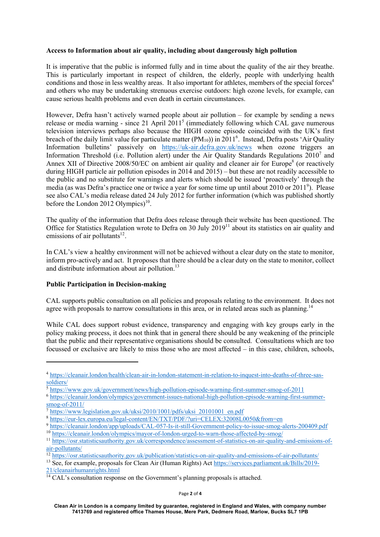### **Access to Information about air quality, including about dangerously high pollution**

It is imperative that the public is informed fully and in time about the quality of the air they breathe. This is particularly important in respect of children, the elderly, people with underlying health conditions and those in less wealthy areas. It also important for athletes, members of the special forces<sup>4</sup> and others who may be undertaking strenuous exercise outdoors: high ozone levels, for example, can cause serious health problems and even death in certain circumstances.

However, Defra hasn't actively warned people about air pollution – for example by sending a news release or media warning - since 21 April 2011<sup>5</sup> (immediately following which CAL gave numerous television interviews perhaps also because the HIGH ozone episode coincided with the UK's first breach of the daily limit value for particulate matter (PM<sub>10</sub>)) in 2011<sup>6</sup>. Instead, Defra posts 'Air Quality Information bulletins' passively on https://uk-air.defra.gov.uk/news when ozone triggers an Information Threshold (i.e. Pollution alert) under the Air Quality Standards Regulations 2010<sup>7</sup> and Annex XII of Directive 2008/50/EC on ambient air quality and cleaner air for Europe<sup>8</sup> (or reactively during HIGH particle air pollution episodes in 2014 and 2015) – but these are not readily accessible to the public and no substitute for warnings and alerts which should be issued 'proactively' through the media (as was Defra's practice one or twice a year for some time up until about 2010 or 2011<sup>9</sup>). Please see also CAL's media release dated 24 July 2012 for further information (which was published shortly before the London 2012 Olympics $1^{10}$ .

The quality of the information that Defra does release through their website has been questioned. The Office for Statistics Regulation wrote to Defra on 30 July  $2019^{11}$  about its statistics on air quality and emissions of air pollutants $12$ .

In CAL's view a healthy environment will not be achieved without a clear duty on the state to monitor, inform pro-actively and act. It proposes that there should be a clear duty on the state to monitor, collect and distribute information about air pollution.<sup>13</sup>

# **Public Participation in Decision-making**

CAL supports public consultation on all policies and proposals relating to the environment. It does not agree with proposals to narrow consultations in this area, or in related areas such as planning.<sup>14</sup>

While CAL does support robust evidence, transparency and engaging with key groups early in the policy making process, it does not think that in general there should be any weakening of the principle that the public and their representative organisations should be consulted. Consultations which are too focussed or exclusive are likely to miss those who are most affected – in this case, children, schools,

<sup>4</sup> https://cleanair.london/health/clean-air-in-london-statement-in-relation-to-inquest-into-deaths-of-three-sassoldiers/

<sup>5</sup> https://www.gov.uk/government/news/high-pollution-episode-warning-first-summer-smog-of-2011

<sup>6</sup> https://cleanair.london/olympics/government-issues-national-high-pollution-episode-warning-first-summer $smog-of-2011/$ 

<sup>7</sup> https://www.legislation.gov.uk/uksi/2010/1001/pdfs/uksi\_20101001\_en.pdf

<sup>8</sup> https://eur-lex.europa.eu/legal-content/EN/TXT/PDF/?uri=CELEX:32008L0050&from=en

<sup>9</sup> https://cleanair.london/app/uploads/CAL-057-Is-it-still-Government-policy-to-issue-smog-alerts-200409.pdf <sup>10</sup> https://cleanair.london/olympics/mayor-of-london-urged-to-warn-those-affected-by-smog/

<sup>11</sup> https://osr.statisticsauthority.gov.uk/correspondence/assessment-of-statistics-on-air-quality-and-emissions-ofair-pollutants/

<sup>&</sup>lt;sup>12</sup> https://osr.statisticsauthority.gov.uk/publication/statistics-on-air-quality-and-emissions-of-air-pollutants/

<sup>13</sup> See, for example, proposals for Clean Air (Human Rights) Act https://services.parliament.uk/Bills/2019-

<sup>21/</sup>cleanairhumanrights.html

 $14$  CAL's consultation response on the Government's planning proposals is attached.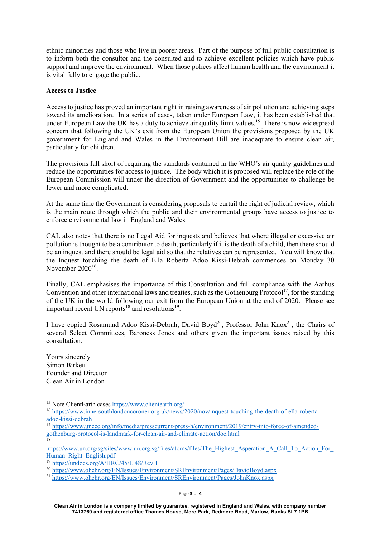ethnic minorities and those who live in poorer areas. Part of the purpose of full public consultation is to inform both the consultor and the consulted and to achieve excellent policies which have public support and improve the environment. When those polices affect human health and the environment it is vital fully to engage the public.

### **Access to Justice**

Access to justice has proved an important right in raising awareness of air pollution and achieving steps toward its amelioration. In a series of cases, taken under European Law, it has been established that under European Law the UK has a duty to achieve air quality limit values.<sup>15</sup> There is now widespread concern that following the UK's exit from the European Union the provisions proposed by the UK government for England and Wales in the Environment Bill are inadequate to ensure clean air, particularly for children.

The provisions fall short of requiring the standards contained in the WHO's air quality guidelines and reduce the opportunities for access to justice. The body which it is proposed will replace the role of the European Commission will under the direction of Government and the opportunities to challenge be fewer and more complicated.

At the same time the Government is considering proposals to curtail the right of judicial review, which is the main route through which the public and their environmental groups have access to justice to enforce environmental law in England and Wales.

CAL also notes that there is no Legal Aid for inquests and believes that where illegal or excessive air pollution is thought to be a contributor to death, particularly if it is the death of a child, then there should be an inquest and there should be legal aid so that the relatives can be represented. You will know that the Inquest touching the death of Ella Roberta Adoo Kissi-Debrah commences on Monday 30 November  $2020^{16}$ .

Finally, CAL emphasises the importance of this Consultation and full compliance with the Aarhus Convention and other international laws and treaties, such as the Gothenburg Protocol<sup>17</sup>, for the standing of the UK in the world following our exit from the European Union at the end of 2020. Please see important recent UN reports<sup>18</sup> and resolutions<sup>19</sup>.

I have copied Rosamund Adoo Kissi-Debrah, David Boyd<sup>20</sup>, Professor John Knox<sup>21</sup>, the Chairs of several Select Committees, Baroness Jones and others given the important issues raised by this consultation.

Yours sincerely Simon Birkett Founder and Director Clean Air in London

https://www.un.org/sg/sites/www.un.org.sg/files/atoms/files/The\_Highest\_Asperation\_A\_Call\_To\_Action\_For\_ Human Right English.pdf

<sup>15</sup> Note ClientEarth cases https://www.clientearth.org/

<sup>16</sup> https://www.innersouthlondoncoroner.org.uk/news/2020/nov/inquest-touching-the-death-of-ella-robertaadoo-kissi-debrah

<sup>&</sup>lt;sup>17</sup> https://www.unece.org/info/media/presscurrent-press-h/environment/2019/entry-into-force-of-amendedgothenburg-protocol-is-landmark-for-clean-air-and-climate-action/doc.html 18

<sup>19</sup> https://undocs.org/A/HRC/45/L.48/Rev.1

<sup>20</sup> https://www.ohchr.org/EN/Issues/Environment/SREnvironment/Pages/DavidBoyd.aspx

<sup>21</sup> https://www.ohchr.org/EN/Issues/Environment/SREnvironment/Pages/JohnKnox.aspx